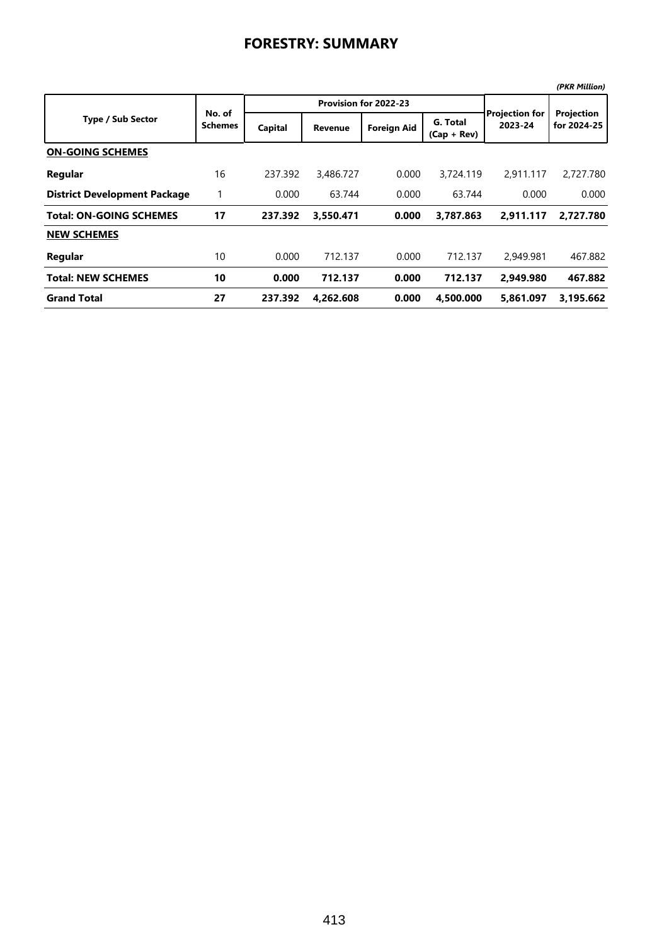|                                     |                          |         |                       |                    |                           |                                  | (PKR Million)             |
|-------------------------------------|--------------------------|---------|-----------------------|--------------------|---------------------------|----------------------------------|---------------------------|
| <b>Type / Sub Sector</b>            | No. of<br><b>Schemes</b> |         | Provision for 2022-23 |                    |                           |                                  |                           |
|                                     |                          | Capital | <b>Revenue</b>        | <b>Foreign Aid</b> | G. Total<br>$(Cap + Rev)$ | <b>Projection for</b><br>2023-24 | Projection<br>for 2024-25 |
| <b>ON-GOING SCHEMES</b>             |                          |         |                       |                    |                           |                                  |                           |
| Regular                             | 16                       | 237.392 | 3,486.727             | 0.000              | 3,724.119                 | 2,911.117                        | 2,727.780                 |
| <b>District Development Package</b> |                          | 0.000   | 63.744                | 0.000              | 63.744                    | 0.000                            | 0.000                     |
| <b>Total: ON-GOING SCHEMES</b>      | 17                       | 237.392 | 3,550.471             | 0.000              | 3,787.863                 | 2.911.117                        | 2,727.780                 |
| <b>NEW SCHEMES</b>                  |                          |         |                       |                    |                           |                                  |                           |
| Regular                             | 10                       | 0.000   | 712.137               | 0.000              | 712.137                   | 2,949.981                        | 467.882                   |
| <b>Total: NEW SCHEMES</b>           | 10                       | 0.000   | 712.137               | 0.000              | 712.137                   | 2.949.980                        | 467.882                   |
| <b>Grand Total</b>                  | 27                       | 237.392 | 4.262.608             | 0.000              | 4,500.000                 | 5,861.097                        | 3,195.662                 |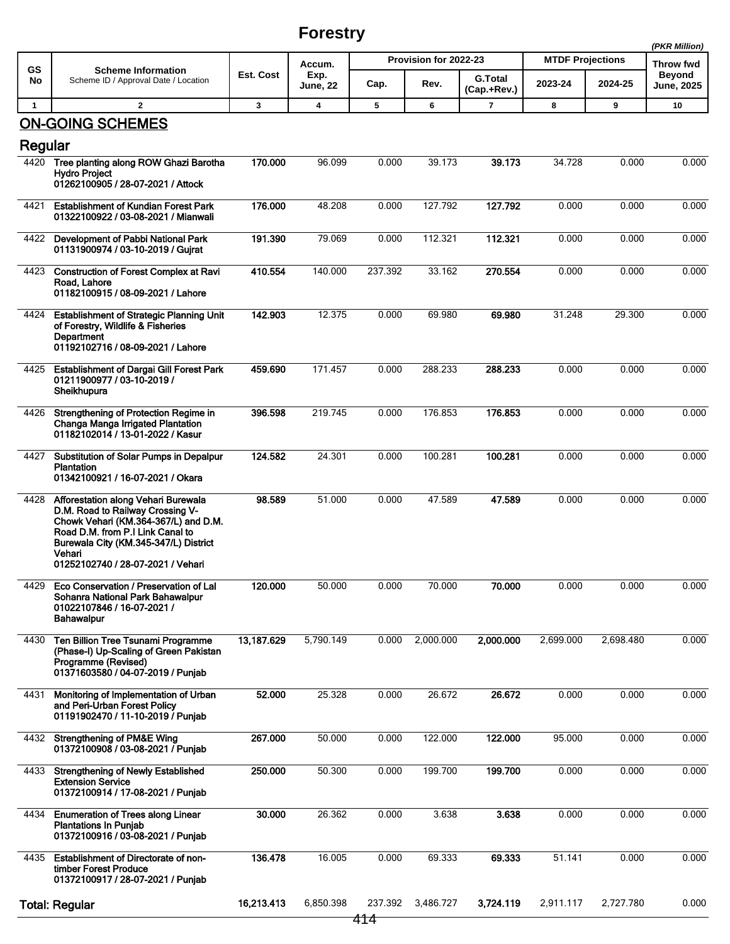## **Forestry**

|              |                                                                                                                                                                                                                                             |            |                         |                       |           |                               |                         |                     | (PKR Million)     |
|--------------|---------------------------------------------------------------------------------------------------------------------------------------------------------------------------------------------------------------------------------------------|------------|-------------------------|-----------------------|-----------|-------------------------------|-------------------------|---------------------|-------------------|
| <b>GS</b>    | <b>Scheme Information</b>                                                                                                                                                                                                                   | Est. Cost  | Accum.                  | Provision for 2022-23 |           |                               | <b>MTDF Projections</b> | Throw fwd<br>Beyond |                   |
| No           | Scheme ID / Approval Date / Location                                                                                                                                                                                                        |            | Exp.<br><b>June, 22</b> | Cap.                  | Rev.      | <b>G.Total</b><br>(Cap.+Rev.) | 2023-24                 | 2024-25             | <b>June, 2025</b> |
| $\mathbf{1}$ | $\mathbf{2}$                                                                                                                                                                                                                                | 3          | 4                       | 5                     | 6         | 7                             | 8                       | 9                   | 10                |
| Regular      | <b>ON-GOING SCHEMES</b>                                                                                                                                                                                                                     |            |                         |                       |           |                               |                         |                     |                   |
| 4420         | Tree planting along ROW Ghazi Barotha<br><b>Hydro Project</b><br>01262100905 / 28-07-2021 / Attock                                                                                                                                          | 170.000    | 96.099                  | 0.000                 | 39.173    | 39.173                        | 34.728                  | 0.000               | 0.000             |
| 4421         | <b>Establishment of Kundian Forest Park</b><br>01322100922 / 03-08-2021 / Mianwali                                                                                                                                                          | 176.000    | 48.208                  | 0.000                 | 127.792   | 127.792                       | 0.000                   | 0.000               | 0.000             |
| 4422         | Development of Pabbi National Park<br>01131900974 / 03-10-2019 / Gujrat                                                                                                                                                                     | 191.390    | 79.069                  | 0.000                 | 112.321   | 112.321                       | 0.000                   | 0.000               | 0.000             |
| 4423         | <b>Construction of Forest Complex at Ravi</b><br>Road, Lahore<br>01182100915 / 08-09-2021 / Lahore                                                                                                                                          | 410.554    | 140.000                 | 237.392               | 33.162    | 270.554                       | 0.000                   | 0.000               | 0.000             |
| 4424         | <b>Establishment of Strategic Planning Unit</b><br>of Forestry, Wildlife & Fisheries<br>Department<br>01192102716 / 08-09-2021 / Lahore                                                                                                     | 142.903    | 12.375                  | 0.000                 | 69.980    | 69.980                        | 31.248                  | 29.300              | 0.000             |
| 4425         | <b>Establishment of Dargai Gill Forest Park</b><br>01211900977 / 03-10-2019 /<br>Sheikhupura                                                                                                                                                | 459.690    | 171.457                 | 0.000                 | 288.233   | 288.233                       | 0.000                   | 0.000               | 0.000             |
| 4426         | Strengthening of Protection Regime in<br>Changa Manga Irrigated Plantation<br>01182102014 / 13-01-2022 / Kasur                                                                                                                              | 396.598    | 219.745                 | 0.000                 | 176.853   | 176.853                       | 0.000                   | 0.000               | 0.000             |
| 4427         | Substitution of Solar Pumps in Depalpur<br><b>Plantation</b><br>01342100921 / 16-07-2021 / Okara                                                                                                                                            | 124.582    | 24.301                  | 0.000                 | 100.281   | 100.281                       | 0.000                   | 0.000               | 0.000             |
| 4428         | Afforestation along Vehari Burewala<br>D.M. Road to Railway Crossing V-<br>Chowk Vehari (KM.364-367/L) and D.M.<br>Road D.M. from P.I Link Canal to<br>Burewala City (KM.345-347/L) District<br>Vehari<br>01252102740 / 28-07-2021 / Vehari | 98.589     | 51.000                  | 0.000                 | 47.589    | 47.589                        | 0.000                   | 0.000               | 0.000             |
| 4429         | Eco Conservation / Preservation of Lal<br>Sohanra National Park Bahawalpur<br>01022107846 / 16-07-2021 /<br><b>Bahawalpur</b>                                                                                                               | 120.000    | 50.000                  | 0.000                 | 70.000    | 70.000                        | 0.000                   | 0.000               | 0.000             |
| 4430         | <b>Ten Billion Tree Tsunami Programme</b><br>(Phase-I) Up-Scaling of Green Pakistan<br>Programme (Revised)<br>01371603580 / 04-07-2019 / Punjab                                                                                             | 13,187.629 | 5,790.149               | 0.000                 | 2,000.000 | 2,000.000                     | 2,699.000               | 2,698.480           | 0.000             |
| 4431         | Monitoring of Implementation of Urban<br>and Peri-Urban Forest Policy<br>01191902470 / 11-10-2019 / Punjab                                                                                                                                  | 52.000     | 25.328                  | 0.000                 | 26.672    | 26.672                        | 0.000                   | 0.000               | 0.000             |
| 4432         | <b>Strengthening of PM&amp;E Wing</b><br>01372100908 / 03-08-2021 / Punjab                                                                                                                                                                  | 267.000    | 50.000                  | 0.000                 | 122.000   | 122.000                       | 95.000                  | 0.000               | 0.000             |
| 4433         | <b>Strengthening of Newly Established</b><br><b>Extension Service</b><br>01372100914 / 17-08-2021 / Punjab                                                                                                                                  | 250.000    | 50.300                  | 0.000                 | 199.700   | 199.700                       | 0.000                   | 0.000               | 0.000             |
| 4434         | <b>Enumeration of Trees along Linear</b><br><b>Plantations In Punjab</b><br>01372100916 / 03-08-2021 / Punjab                                                                                                                               | 30.000     | 26.362                  | 0.000                 | 3.638     | 3.638                         | 0.000                   | 0.000               | 0.000             |
| 4435         | Establishment of Directorate of non-<br>timber Forest Produce<br>01372100917 / 28-07-2021 / Punjab                                                                                                                                          | 136.478    | 16.005                  | 0.000                 | 69.333    | 69.333                        | 51.141                  | 0.000               | 0.000             |
|              | <b>Total: Regular</b>                                                                                                                                                                                                                       | 16,213.413 | 6,850.398               | 237.392               | 3,486.727 | 3,724.119                     | 2,911.117               | 2,727.780           | 0.000             |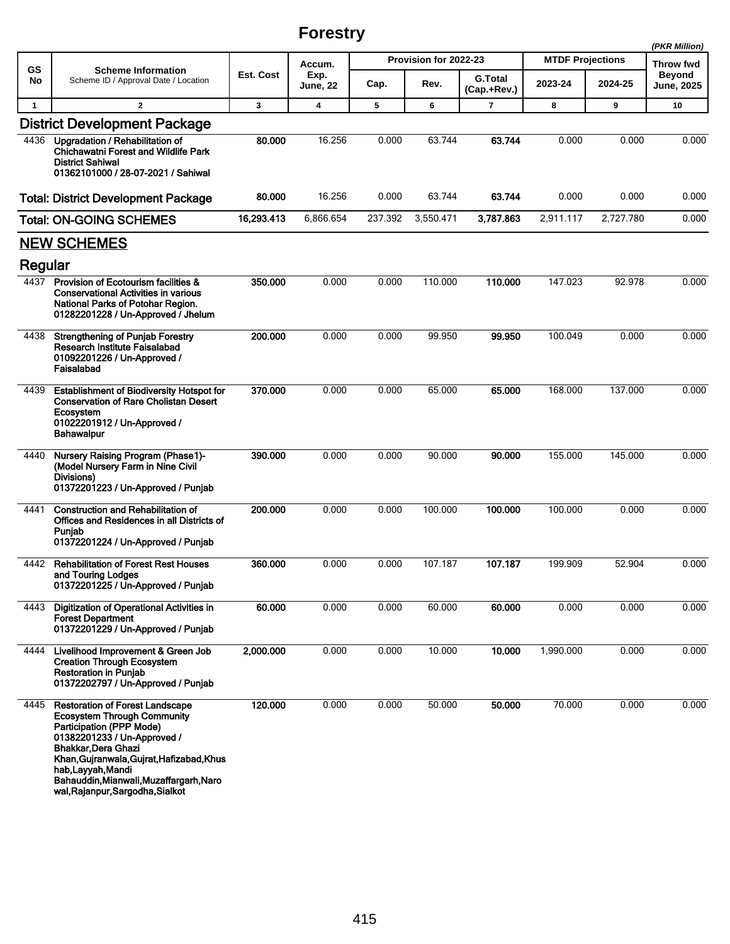## **Forestry**

|                 |                                                                                                                                                                                                                                                                                                                         |            |                            |                       |           |                               |                         |           | (PKR Million)                      |
|-----------------|-------------------------------------------------------------------------------------------------------------------------------------------------------------------------------------------------------------------------------------------------------------------------------------------------------------------------|------------|----------------------------|-----------------------|-----------|-------------------------------|-------------------------|-----------|------------------------------------|
| <b>GS</b><br>No | <b>Scheme Information</b><br>Scheme ID / Approval Date / Location                                                                                                                                                                                                                                                       |            | Accum.<br>Exp.<br>June, 22 | Provision for 2022-23 |           |                               | <b>MTDF Projections</b> | Throw fwd |                                    |
|                 |                                                                                                                                                                                                                                                                                                                         | Est. Cost  |                            | Cap.                  | Rev.      | <b>G.Total</b><br>(Cap.+Rev.) | 2023-24                 | 2024-25   | <b>Beyond</b><br><b>June, 2025</b> |
| $\mathbf{1}$    | $\mathbf{2}$                                                                                                                                                                                                                                                                                                            | 3          | 4                          | 5                     | 6         | $\overline{7}$                | 8                       | 9         | 10                                 |
|                 | <b>District Development Package</b>                                                                                                                                                                                                                                                                                     |            |                            |                       |           |                               |                         |           |                                    |
| 4436            | Upgradation / Rehabilitation of<br><b>Chichawatni Forest and Wildlife Park</b><br><b>District Sahiwal</b><br>01362101000 / 28-07-2021 / Sahiwal                                                                                                                                                                         | 80.000     | 16.256                     | 0.000                 | 63.744    | 63.744                        | 0.000                   | 0.000     | 0.000                              |
|                 | <b>Total: District Development Package</b>                                                                                                                                                                                                                                                                              | 80.000     | 16.256                     | 0.000                 | 63.744    | 63.744                        | 0.000                   | 0.000     | 0.000                              |
|                 | <b>Total: ON-GOING SCHEMES</b>                                                                                                                                                                                                                                                                                          | 16,293.413 | 6,866.654                  | 237.392               | 3,550.471 | 3,787.863                     | 2,911.117               | 2,727.780 | 0.000                              |
|                 | <b>NEW SCHEMES</b>                                                                                                                                                                                                                                                                                                      |            |                            |                       |           |                               |                         |           |                                    |
| Regular         |                                                                                                                                                                                                                                                                                                                         |            |                            |                       |           |                               |                         |           |                                    |
| 4437            | Provision of Ecotourism facilities &<br><b>Conservational Activities in various</b><br>National Parks of Potohar Region.<br>01282201228 / Un-Approved / Jhelum                                                                                                                                                          | 350.000    | 0.000                      | 0.000                 | 110.000   | 110.000                       | 147.023                 | 92.978    | 0.000                              |
| 4438            | <b>Strengthening of Punjab Forestry</b><br>Research Institute Faisalabad<br>01092201226 / Un-Approved /<br>Faisalabad                                                                                                                                                                                                   | 200.000    | 0.000                      | 0.000                 | 99.950    | 99.950                        | 100.049                 | 0.000     | 0.000                              |
| 4439            | <b>Establishment of Biodiversity Hotspot for</b><br><b>Conservation of Rare Cholistan Desert</b><br>Ecosystem<br>01022201912 / Un-Approved /<br><b>Bahawalpur</b>                                                                                                                                                       | 370.000    | 0.000                      | 0.000                 | 65.000    | 65.000                        | 168.000                 | 137.000   | 0.000                              |
| 4440            | <b>Nursery Raising Program (Phase1)-</b><br>(Model Nursery Farm in Nine Civil<br>Divisions)<br>01372201223 / Un-Approved / Punjab                                                                                                                                                                                       | 390.000    | 0.000                      | 0.000                 | 90.000    | 90.000                        | 155.000                 | 145.000   | 0.000                              |
| 4441            | <b>Construction and Rehabilitation of</b><br>Offices and Residences in all Districts of<br>Puniab<br>01372201224 / Un-Approved / Punjab                                                                                                                                                                                 | 200.000    | 0.000                      | 0.000                 | 100.000   | 100.000                       | 100.000                 | 0.000     | 0.000                              |
| 4442            | <b>Rehabilitation of Forest Rest Houses</b><br>and Touring Lodges<br>01372201225 / Un-Approved / Punjab                                                                                                                                                                                                                 | 360.000    | 0.000                      | 0.000                 | 107.187   | 107.187                       | 199.909                 | 52.904    | 0.000                              |
| 4443            | <b>Digitization of Operational Activities in</b><br><b>Forest Department</b><br>01372201229 / Un-Approved / Punjab                                                                                                                                                                                                      | 60.000     | 0.000                      | 0.000                 | 60.000    | 60.000                        | 0.000                   | 0.000     | 0.000                              |
| 4444            | Livelihood Improvement & Green Job<br><b>Creation Through Ecosystem</b><br><b>Restoration in Punjab</b><br>01372202797 / Un-Approved / Punjab                                                                                                                                                                           | 2,000.000  | 0.000                      | 0.000                 | 10.000    | 10.000                        | 1,990.000               | 0.000     | 0.000                              |
| 4445            | <b>Restoration of Forest Landscape</b><br><b>Ecosystem Through Community</b><br><b>Participation (PPP Mode)</b><br>01382201233 / Un-Approved /<br>Bhakkar, Dera Ghazi<br>Khan, Gujranwala, Gujrat, Hafizabad, Khus<br>hab, Layyah, Mandi<br>Bahauddin, Mianwali, Muzaffargarh, Naro<br>wal, Rajanpur, Sargodha, Sialkot | 120.000    | 0.000                      | 0.000                 | 50.000    | 50.000                        | 70.000                  | 0.000     | 0.000                              |